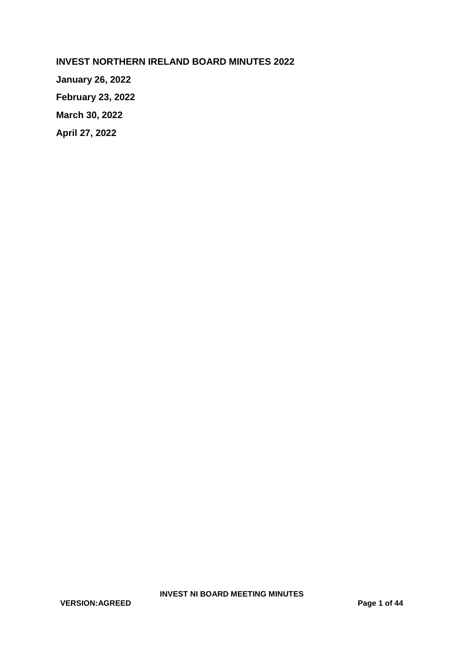**INVEST NORTHERN IRELAND BOARD MINUTES 2022**

**January 26, 2022 February 23, 2022**

**March 30, 2022**

**April 27, 2022**

**VERSION:AGREED Page 1 of 44**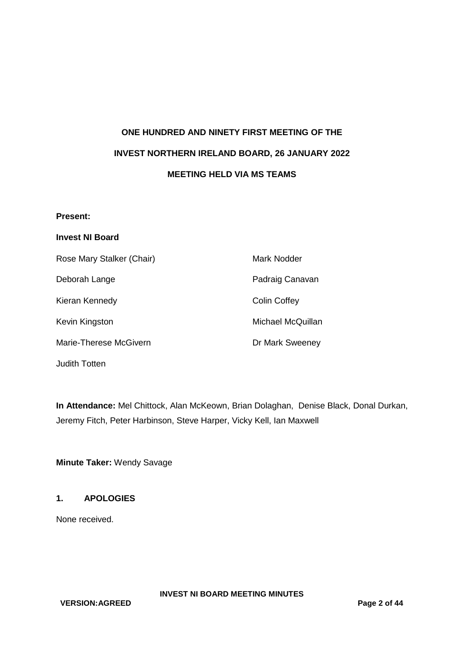# **ONE HUNDRED AND NINETY FIRST MEETING OF THE INVEST NORTHERN IRELAND BOARD, 26 JANUARY 2022 MEETING HELD VIA MS TEAMS**

#### **Present:**

## **Invest NI Board**

| Rose Mary Stalker (Chair) | Mark Nodder         |
|---------------------------|---------------------|
| Deborah Lange             | Padraig Canavan     |
| Kieran Kennedy            | <b>Colin Coffey</b> |
| Kevin Kingston            | Michael McQuillan   |
| Marie-Therese McGivern    | Dr Mark Sweeney     |

Judith Totten

**In Attendance:** Mel Chittock, Alan McKeown, Brian Dolaghan, Denise Black, Donal Durkan, Jeremy Fitch, Peter Harbinson, Steve Harper, Vicky Kell, Ian Maxwell

**Minute Taker:** Wendy Savage

## **1. APOLOGIES**

None received.

**VERSION:AGREED Page 2 of 44**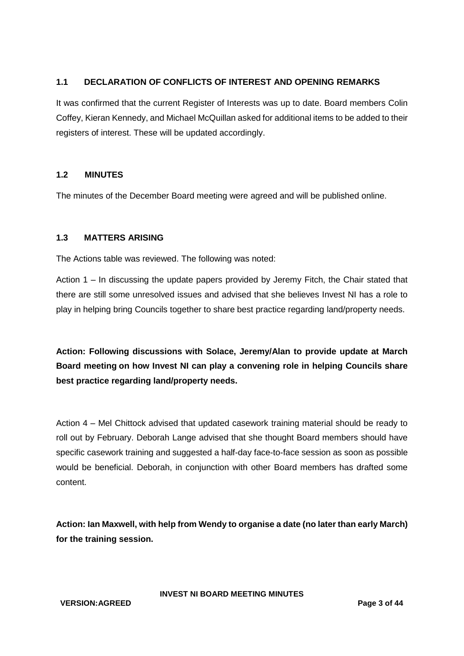## **1.1 DECLARATION OF CONFLICTS OF INTEREST AND OPENING REMARKS**

It was confirmed that the current Register of Interests was up to date. Board members Colin Coffey, Kieran Kennedy, and Michael McQuillan asked for additional items to be added to their registers of interest. These will be updated accordingly.

## **1.2 MINUTES**

The minutes of the December Board meeting were agreed and will be published online.

## **1.3 MATTERS ARISING**

The Actions table was reviewed. The following was noted:

Action 1 – In discussing the update papers provided by Jeremy Fitch, the Chair stated that there are still some unresolved issues and advised that she believes Invest NI has a role to play in helping bring Councils together to share best practice regarding land/property needs.

**Action: Following discussions with Solace, Jeremy/Alan to provide update at March Board meeting on how Invest NI can play a convening role in helping Councils share best practice regarding land/property needs.**

Action 4 – Mel Chittock advised that updated casework training material should be ready to roll out by February. Deborah Lange advised that she thought Board members should have specific casework training and suggested a half-day face-to-face session as soon as possible would be beneficial. Deborah, in conjunction with other Board members has drafted some content.

**Action: Ian Maxwell, with help from Wendy to organise a date (no later than early March) for the training session.**

**VERSION:AGREED Page 3 of 44**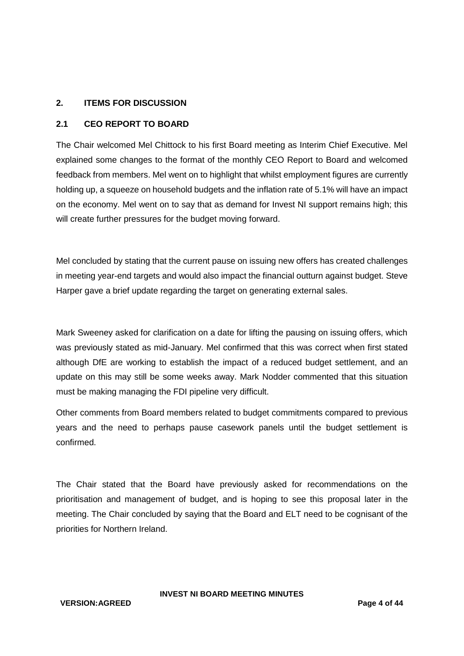#### **2. ITEMS FOR DISCUSSION**

#### **2.1 CEO REPORT TO BOARD**

The Chair welcomed Mel Chittock to his first Board meeting as Interim Chief Executive. Mel explained some changes to the format of the monthly CEO Report to Board and welcomed feedback from members. Mel went on to highlight that whilst employment figures are currently holding up, a squeeze on household budgets and the inflation rate of 5.1% will have an impact on the economy. Mel went on to say that as demand for Invest NI support remains high; this will create further pressures for the budget moving forward.

Mel concluded by stating that the current pause on issuing new offers has created challenges in meeting year-end targets and would also impact the financial outturn against budget. Steve Harper gave a brief update regarding the target on generating external sales.

Mark Sweeney asked for clarification on a date for lifting the pausing on issuing offers, which was previously stated as mid-January. Mel confirmed that this was correct when first stated although DfE are working to establish the impact of a reduced budget settlement, and an update on this may still be some weeks away. Mark Nodder commented that this situation must be making managing the FDI pipeline very difficult.

Other comments from Board members related to budget commitments compared to previous years and the need to perhaps pause casework panels until the budget settlement is confirmed.

The Chair stated that the Board have previously asked for recommendations on the prioritisation and management of budget, and is hoping to see this proposal later in the meeting. The Chair concluded by saying that the Board and ELT need to be cognisant of the priorities for Northern Ireland.

**INVEST NI BOARD MEETING MINUTES**

**VERSION:AGREED Page 4 of 44**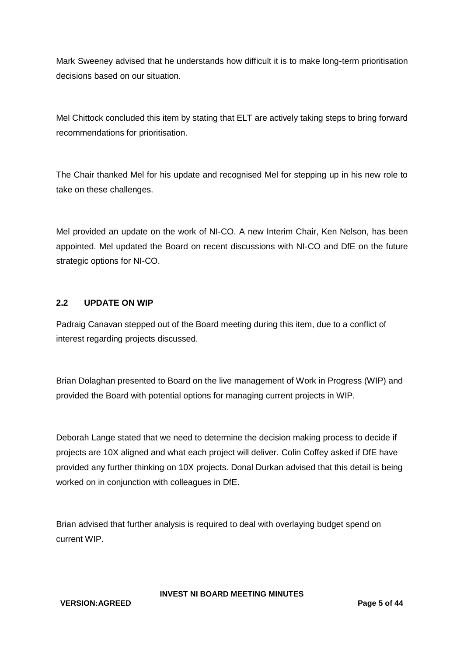Mark Sweeney advised that he understands how difficult it is to make long-term prioritisation decisions based on our situation.

Mel Chittock concluded this item by stating that ELT are actively taking steps to bring forward recommendations for prioritisation.

The Chair thanked Mel for his update and recognised Mel for stepping up in his new role to take on these challenges.

Mel provided an update on the work of NI-CO. A new Interim Chair, Ken Nelson, has been appointed. Mel updated the Board on recent discussions with NI-CO and DfE on the future strategic options for NI-CO.

## **2.2 UPDATE ON WIP**

Padraig Canavan stepped out of the Board meeting during this item, due to a conflict of interest regarding projects discussed.

Brian Dolaghan presented to Board on the live management of Work in Progress (WIP) and provided the Board with potential options for managing current projects in WIP.

Deborah Lange stated that we need to determine the decision making process to decide if projects are 10X aligned and what each project will deliver. Colin Coffey asked if DfE have provided any further thinking on 10X projects. Donal Durkan advised that this detail is being worked on in conjunction with colleagues in DfE.

Brian advised that further analysis is required to deal with overlaying budget spend on current WIP.

**INVEST NI BOARD MEETING MINUTES**

**VERSION:AGREED Page 5 of 44**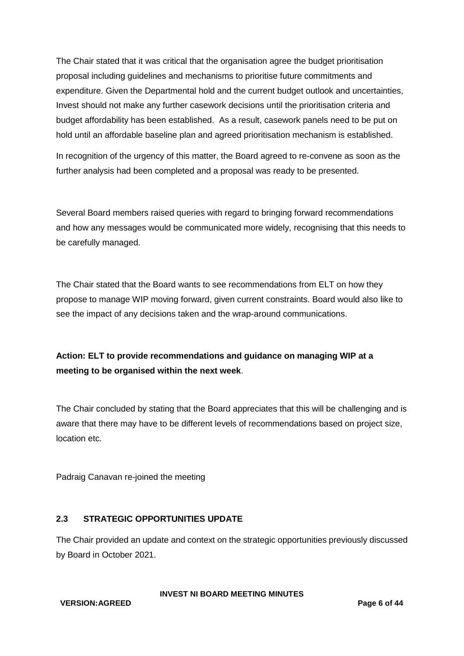The Chair stated that it was critical that the organisation agree the budget prioritisation proposal including guidelines and mechanisms to prioritise future commitments and expenditure. Given the Departmental hold and the current budget outlook and uncertainties, Invest should not make any further casework decisions until the prioritisation criteria and budget affordability has been established. As a result, casework panels need to be put on hold until an affordable baseline plan and agreed prioritisation mechanism is established.

In recognition of the urgency of this matter, the Board agreed to re-convene as soon as the further analysis had been completed and a proposal was ready to be presented.

Several Board members raised queries with regard to bringing forward recommendations and how any messages would be communicated more widely, recognising that this needs to be carefully managed.

The Chair stated that the Board wants to see recommendations from ELT on how they propose to manage WIP moving forward, given current constraints. Board would also like to see the impact of any decisions taken and the wrap-around communications.

# **Action: ELT to provide recommendations and guidance on managing WIP at a meeting to be organised within the next week**.

The Chair concluded by stating that the Board appreciates that this will be challenging and is aware that there may have to be different levels of recommendations based on project size, location etc.

Padraig Canavan re-joined the meeting

# **2.3 STRATEGIC OPPORTUNITIES UPDATE**

The Chair provided an update and context on the strategic opportunities previously discussed by Board in October 2021.

**VERSION:AGREED Page 6 of 44**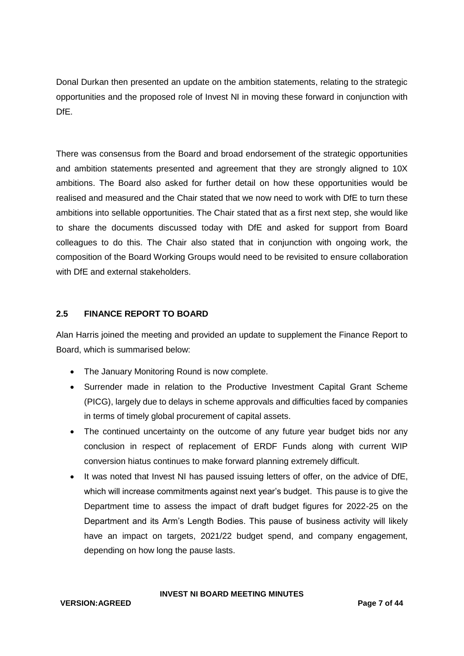Donal Durkan then presented an update on the ambition statements, relating to the strategic opportunities and the proposed role of Invest NI in moving these forward in conjunction with DfE.

There was consensus from the Board and broad endorsement of the strategic opportunities and ambition statements presented and agreement that they are strongly aligned to 10X ambitions. The Board also asked for further detail on how these opportunities would be realised and measured and the Chair stated that we now need to work with DfE to turn these ambitions into sellable opportunities. The Chair stated that as a first next step, she would like to share the documents discussed today with DfE and asked for support from Board colleagues to do this. The Chair also stated that in conjunction with ongoing work, the composition of the Board Working Groups would need to be revisited to ensure collaboration with DfE and external stakeholders.

## **2.5 FINANCE REPORT TO BOARD**

Alan Harris joined the meeting and provided an update to supplement the Finance Report to Board, which is summarised below:

- The January Monitoring Round is now complete.
- Surrender made in relation to the Productive Investment Capital Grant Scheme (PICG), largely due to delays in scheme approvals and difficulties faced by companies in terms of timely global procurement of capital assets.
- The continued uncertainty on the outcome of any future year budget bids nor any conclusion in respect of replacement of ERDF Funds along with current WIP conversion hiatus continues to make forward planning extremely difficult.
- It was noted that Invest NI has paused issuing letters of offer, on the advice of DfE, which will increase commitments against next year's budget. This pause is to give the Department time to assess the impact of draft budget figures for 2022-25 on the Department and its Arm's Length Bodies. This pause of business activity will likely have an impact on targets, 2021/22 budget spend, and company engagement, depending on how long the pause lasts.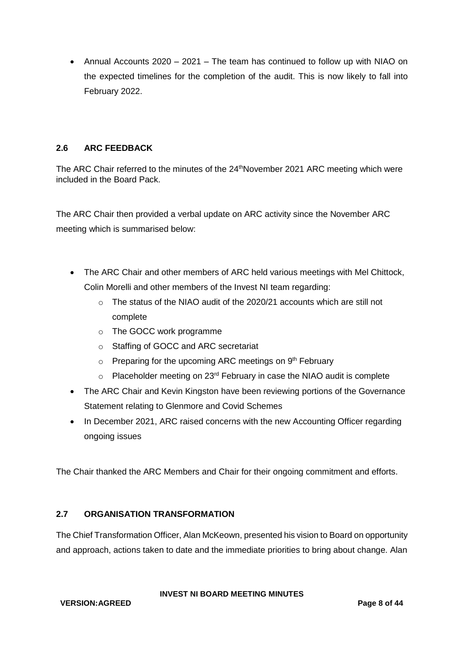• Annual Accounts 2020 – 2021 – The team has continued to follow up with NIAO on the expected timelines for the completion of the audit. This is now likely to fall into February 2022.

# **2.6 ARC FEEDBACK**

The ARC Chair referred to the minutes of the 24<sup>th</sup>November 2021 ARC meeting which were included in the Board Pack.

The ARC Chair then provided a verbal update on ARC activity since the November ARC meeting which is summarised below:

- The ARC Chair and other members of ARC held various meetings with Mel Chittock, Colin Morelli and other members of the Invest NI team regarding:
	- $\circ$  The status of the NIAO audit of the 2020/21 accounts which are still not complete
	- o The GOCC work programme
	- o Staffing of GOCC and ARC secretariat
	- $\circ$  Preparing for the upcoming ARC meetings on 9<sup>th</sup> February
	- o Placeholder meeting on 23<sup>rd</sup> February in case the NIAO audit is complete
- The ARC Chair and Kevin Kingston have been reviewing portions of the Governance Statement relating to Glenmore and Covid Schemes
- In December 2021, ARC raised concerns with the new Accounting Officer regarding ongoing issues

The Chair thanked the ARC Members and Chair for their ongoing commitment and efforts.

# **2.7 ORGANISATION TRANSFORMATION**

The Chief Transformation Officer, Alan McKeown, presented his vision to Board on opportunity and approach, actions taken to date and the immediate priorities to bring about change. Alan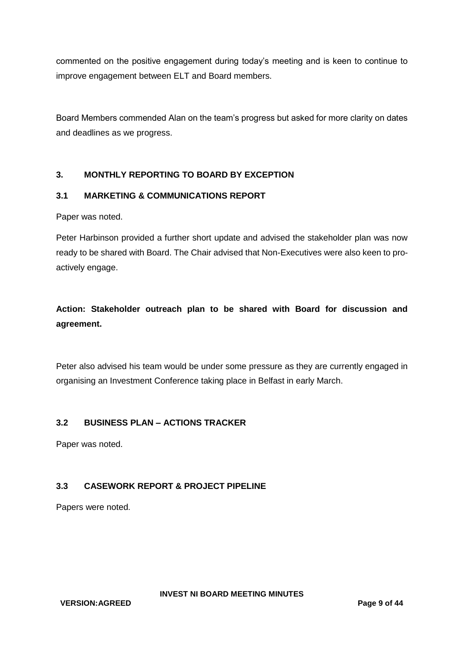commented on the positive engagement during today's meeting and is keen to continue to improve engagement between ELT and Board members.

Board Members commended Alan on the team's progress but asked for more clarity on dates and deadlines as we progress.

# **3. MONTHLY REPORTING TO BOARD BY EXCEPTION**

## **3.1 MARKETING & COMMUNICATIONS REPORT**

Paper was noted.

Peter Harbinson provided a further short update and advised the stakeholder plan was now ready to be shared with Board. The Chair advised that Non-Executives were also keen to proactively engage.

# **Action: Stakeholder outreach plan to be shared with Board for discussion and agreement.**

Peter also advised his team would be under some pressure as they are currently engaged in organising an Investment Conference taking place in Belfast in early March.

#### **3.2 BUSINESS PLAN – ACTIONS TRACKER**

Paper was noted.

# **3.3 CASEWORK REPORT & PROJECT PIPELINE**

Papers were noted.

**VERSION:AGREED Page 9 of 44**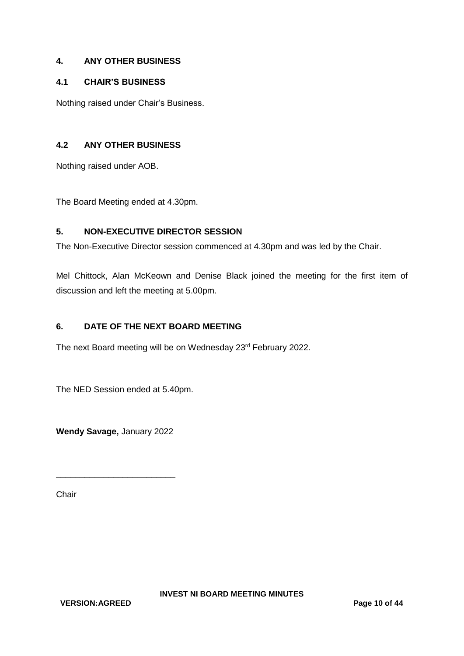## **4. ANY OTHER BUSINESS**

## **4.1 CHAIR'S BUSINESS**

Nothing raised under Chair's Business.

## **4.2 ANY OTHER BUSINESS**

Nothing raised under AOB.

The Board Meeting ended at 4.30pm.

#### **5. NON-EXECUTIVE DIRECTOR SESSION**

The Non-Executive Director session commenced at 4.30pm and was led by the Chair.

Mel Chittock, Alan McKeown and Denise Black joined the meeting for the first item of discussion and left the meeting at 5.00pm.

#### **6. DATE OF THE NEXT BOARD MEETING**

The next Board meeting will be on Wednesday 23<sup>rd</sup> February 2022.

The NED Session ended at 5.40pm.

**Wendy Savage,** January 2022

\_\_\_\_\_\_\_\_\_\_\_\_\_\_\_\_\_\_\_\_\_\_\_\_\_

**Chair**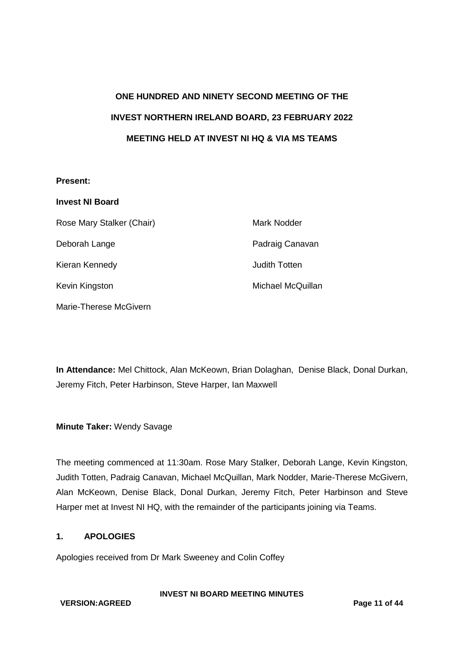# **ONE HUNDRED AND NINETY SECOND MEETING OF THE INVEST NORTHERN IRELAND BOARD, 23 FEBRUARY 2022 MEETING HELD AT INVEST NI HQ & VIA MS TEAMS**

#### **Present:**

| <b>Invest NI Board</b>    |                   |
|---------------------------|-------------------|
| Rose Mary Stalker (Chair) | Mark Nodder       |
| Deborah Lange             | Padraig Canavan   |
| Kieran Kennedy            | Judith Totten     |
| Kevin Kingston            | Michael McQuillan |
| Marie-Therese McGivern    |                   |

**In Attendance:** Mel Chittock, Alan McKeown, Brian Dolaghan, Denise Black, Donal Durkan, Jeremy Fitch, Peter Harbinson, Steve Harper, Ian Maxwell

**Minute Taker:** Wendy Savage

The meeting commenced at 11:30am. Rose Mary Stalker, Deborah Lange, Kevin Kingston, Judith Totten, Padraig Canavan, Michael McQuillan, Mark Nodder, Marie-Therese McGivern, Alan McKeown, Denise Black, Donal Durkan, Jeremy Fitch, Peter Harbinson and Steve Harper met at Invest NI HQ, with the remainder of the participants joining via Teams.

#### **1. APOLOGIES**

Apologies received from Dr Mark Sweeney and Colin Coffey

#### **VERSION:AGREED Page 11 of 44**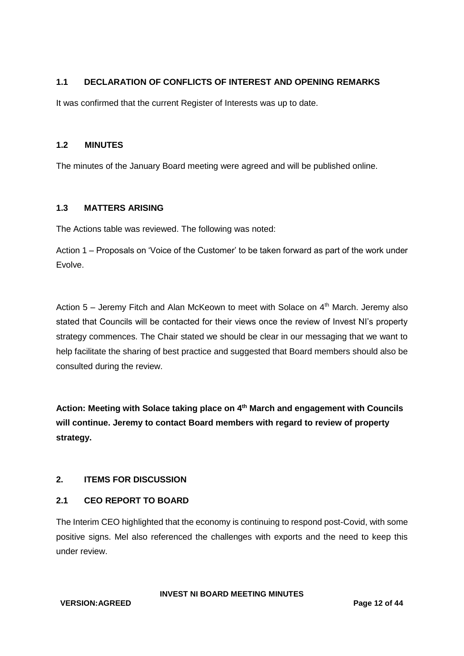## **1.1 DECLARATION OF CONFLICTS OF INTEREST AND OPENING REMARKS**

It was confirmed that the current Register of Interests was up to date.

#### **1.2 MINUTES**

The minutes of the January Board meeting were agreed and will be published online.

#### **1.3 MATTERS ARISING**

The Actions table was reviewed. The following was noted:

Action 1 – Proposals on 'Voice of the Customer' to be taken forward as part of the work under Evolve.

Action  $5 -$  Jeremy Fitch and Alan McKeown to meet with Solace on  $4<sup>th</sup>$  March. Jeremy also stated that Councils will be contacted for their views once the review of Invest NI's property strategy commences. The Chair stated we should be clear in our messaging that we want to help facilitate the sharing of best practice and suggested that Board members should also be consulted during the review.

**Action: Meeting with Solace taking place on 4th March and engagement with Councils will continue. Jeremy to contact Board members with regard to review of property strategy.**

#### **2. ITEMS FOR DISCUSSION**

#### **2.1 CEO REPORT TO BOARD**

The Interim CEO highlighted that the economy is continuing to respond post-Covid, with some positive signs. Mel also referenced the challenges with exports and the need to keep this under review.

**VERSION:AGREED Page 12 of 44**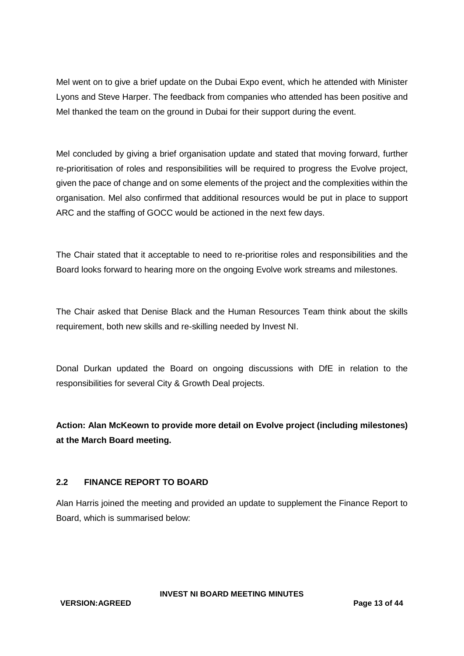Mel went on to give a brief update on the Dubai Expo event, which he attended with Minister Lyons and Steve Harper. The feedback from companies who attended has been positive and Mel thanked the team on the ground in Dubai for their support during the event.

Mel concluded by giving a brief organisation update and stated that moving forward, further re-prioritisation of roles and responsibilities will be required to progress the Evolve project, given the pace of change and on some elements of the project and the complexities within the organisation. Mel also confirmed that additional resources would be put in place to support ARC and the staffing of GOCC would be actioned in the next few days.

The Chair stated that it acceptable to need to re-prioritise roles and responsibilities and the Board looks forward to hearing more on the ongoing Evolve work streams and milestones.

The Chair asked that Denise Black and the Human Resources Team think about the skills requirement, both new skills and re-skilling needed by Invest NI.

Donal Durkan updated the Board on ongoing discussions with DfE in relation to the responsibilities for several City & Growth Deal projects.

**Action: Alan McKeown to provide more detail on Evolve project (including milestones) at the March Board meeting.**

# **2.2 FINANCE REPORT TO BOARD**

Alan Harris joined the meeting and provided an update to supplement the Finance Report to Board, which is summarised below:

**INVEST NI BOARD MEETING MINUTES**

**VERSION:AGREED Page 13 of 44**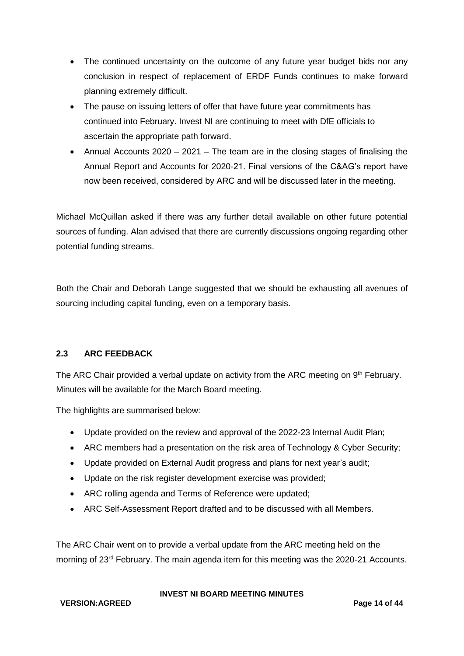- The continued uncertainty on the outcome of any future year budget bids nor any conclusion in respect of replacement of ERDF Funds continues to make forward planning extremely difficult.
- The pause on issuing letters of offer that have future year commitments has continued into February. Invest NI are continuing to meet with DfE officials to ascertain the appropriate path forward.
- Annual Accounts 2020 2021 The team are in the closing stages of finalising the Annual Report and Accounts for 2020-21. Final versions of the C&AG's report have now been received, considered by ARC and will be discussed later in the meeting.

Michael McQuillan asked if there was any further detail available on other future potential sources of funding. Alan advised that there are currently discussions ongoing regarding other potential funding streams.

Both the Chair and Deborah Lange suggested that we should be exhausting all avenues of sourcing including capital funding, even on a temporary basis.

# **2.3 ARC FEEDBACK**

The ARC Chair provided a verbal update on activity from the ARC meeting on 9<sup>th</sup> February. Minutes will be available for the March Board meeting.

The highlights are summarised below:

- Update provided on the review and approval of the 2022-23 Internal Audit Plan;
- ARC members had a presentation on the risk area of Technology & Cyber Security;
- Update provided on External Audit progress and plans for next year's audit;
- Update on the risk register development exercise was provided;
- ARC rolling agenda and Terms of Reference were updated;
- ARC Self-Assessment Report drafted and to be discussed with all Members.

The ARC Chair went on to provide a verbal update from the ARC meeting held on the morning of 23rd February. The main agenda item for this meeting was the 2020-21 Accounts.

**VERSION:AGREED Page 14 of 44**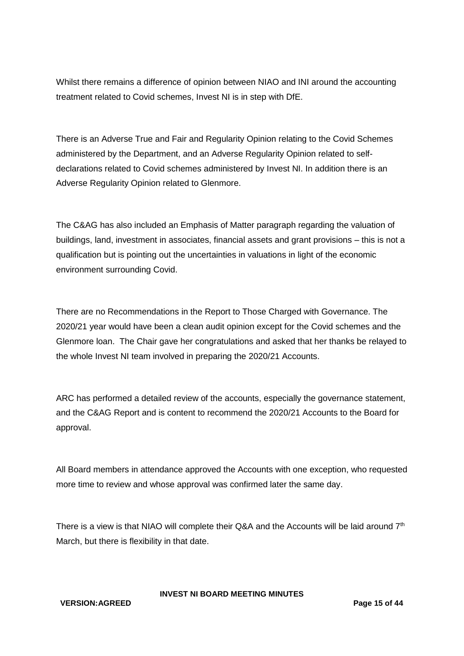Whilst there remains a difference of opinion between NIAO and INI around the accounting treatment related to Covid schemes, Invest NI is in step with DfE.

There is an Adverse True and Fair and Regularity Opinion relating to the Covid Schemes administered by the Department, and an Adverse Regularity Opinion related to selfdeclarations related to Covid schemes administered by Invest NI. In addition there is an Adverse Regularity Opinion related to Glenmore.

The C&AG has also included an Emphasis of Matter paragraph regarding the valuation of buildings, land, investment in associates, financial assets and grant provisions – this is not a qualification but is pointing out the uncertainties in valuations in light of the economic environment surrounding Covid.

There are no Recommendations in the Report to Those Charged with Governance. The 2020/21 year would have been a clean audit opinion except for the Covid schemes and the Glenmore loan. The Chair gave her congratulations and asked that her thanks be relayed to the whole Invest NI team involved in preparing the 2020/21 Accounts.

ARC has performed a detailed review of the accounts, especially the governance statement, and the C&AG Report and is content to recommend the 2020/21 Accounts to the Board for approval.

All Board members in attendance approved the Accounts with one exception, who requested more time to review and whose approval was confirmed later the same day.

There is a view is that NIAO will complete their Q&A and the Accounts will be laid around  $7<sup>th</sup>$ March, but there is flexibility in that date.

**INVEST NI BOARD MEETING MINUTES**

#### **VERSION:AGREED Page 15 of 44**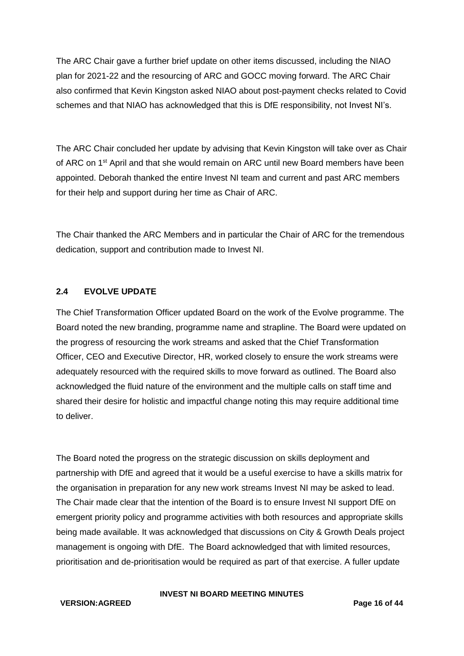The ARC Chair gave a further brief update on other items discussed, including the NIAO plan for 2021-22 and the resourcing of ARC and GOCC moving forward. The ARC Chair also confirmed that Kevin Kingston asked NIAO about post-payment checks related to Covid schemes and that NIAO has acknowledged that this is DfE responsibility, not Invest NI's.

The ARC Chair concluded her update by advising that Kevin Kingston will take over as Chair of ARC on 1<sup>st</sup> April and that she would remain on ARC until new Board members have been appointed. Deborah thanked the entire Invest NI team and current and past ARC members for their help and support during her time as Chair of ARC.

The Chair thanked the ARC Members and in particular the Chair of ARC for the tremendous dedication, support and contribution made to Invest NI.

#### **2.4 EVOLVE UPDATE**

The Chief Transformation Officer updated Board on the work of the Evolve programme. The Board noted the new branding, programme name and strapline. The Board were updated on the progress of resourcing the work streams and asked that the Chief Transformation Officer, CEO and Executive Director, HR, worked closely to ensure the work streams were adequately resourced with the required skills to move forward as outlined. The Board also acknowledged the fluid nature of the environment and the multiple calls on staff time and shared their desire for holistic and impactful change noting this may require additional time to deliver.

The Board noted the progress on the strategic discussion on skills deployment and partnership with DfE and agreed that it would be a useful exercise to have a skills matrix for the organisation in preparation for any new work streams Invest NI may be asked to lead. The Chair made clear that the intention of the Board is to ensure Invest NI support DfE on emergent priority policy and programme activities with both resources and appropriate skills being made available. It was acknowledged that discussions on City & Growth Deals project management is ongoing with DfE. The Board acknowledged that with limited resources, prioritisation and de-prioritisation would be required as part of that exercise. A fuller update

#### **VERSION:AGREED Page 16 of 44**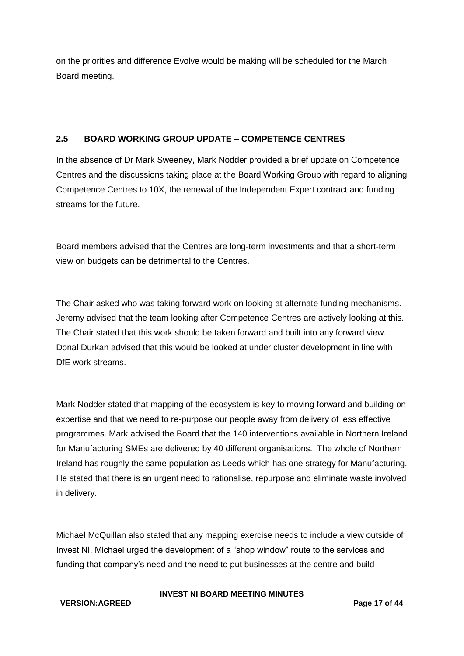on the priorities and difference Evolve would be making will be scheduled for the March Board meeting.

## **2.5 BOARD WORKING GROUP UPDATE – COMPETENCE CENTRES**

In the absence of Dr Mark Sweeney, Mark Nodder provided a brief update on Competence Centres and the discussions taking place at the Board Working Group with regard to aligning Competence Centres to 10X, the renewal of the Independent Expert contract and funding streams for the future.

Board members advised that the Centres are long-term investments and that a short-term view on budgets can be detrimental to the Centres.

The Chair asked who was taking forward work on looking at alternate funding mechanisms. Jeremy advised that the team looking after Competence Centres are actively looking at this. The Chair stated that this work should be taken forward and built into any forward view. Donal Durkan advised that this would be looked at under cluster development in line with DfE work streams.

Mark Nodder stated that mapping of the ecosystem is key to moving forward and building on expertise and that we need to re-purpose our people away from delivery of less effective programmes. Mark advised the Board that the 140 interventions available in Northern Ireland for Manufacturing SMEs are delivered by 40 different organisations. The whole of Northern Ireland has roughly the same population as Leeds which has one strategy for Manufacturing. He stated that there is an urgent need to rationalise, repurpose and eliminate waste involved in delivery.

Michael McQuillan also stated that any mapping exercise needs to include a view outside of Invest NI. Michael urged the development of a "shop window" route to the services and funding that company's need and the need to put businesses at the centre and build

#### **VERSION:AGREED Page 17 of 44**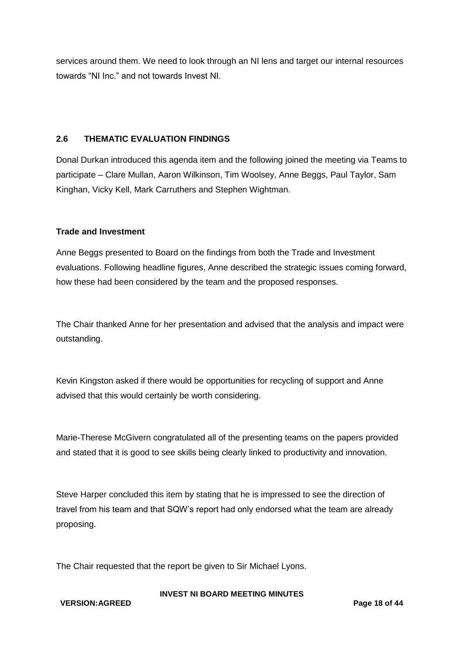services around them. We need to look through an NI lens and target our internal resources towards "NI Inc." and not towards Invest NI.

#### **2.6 THEMATIC EVALUATION FINDINGS**

Donal Durkan introduced this agenda item and the following joined the meeting via Teams to participate – Clare Mullan, Aaron Wilkinson, Tim Woolsey, Anne Beggs, Paul Taylor, Sam Kinghan, Vicky Kell, Mark Carruthers and Stephen Wightman.

#### **Trade and Investment**

Anne Beggs presented to Board on the findings from both the Trade and Investment evaluations. Following headline figures, Anne described the strategic issues coming forward, how these had been considered by the team and the proposed responses.

The Chair thanked Anne for her presentation and advised that the analysis and impact were outstanding.

Kevin Kingston asked if there would be opportunities for recycling of support and Anne advised that this would certainly be worth considering.

Marie-Therese McGivern congratulated all of the presenting teams on the papers provided and stated that it is good to see skills being clearly linked to productivity and innovation.

Steve Harper concluded this item by stating that he is impressed to see the direction of travel from his team and that SQW's report had only endorsed what the team are already proposing.

The Chair requested that the report be given to Sir Michael Lyons.

#### **VERSION:AGREED Page 18 of 44**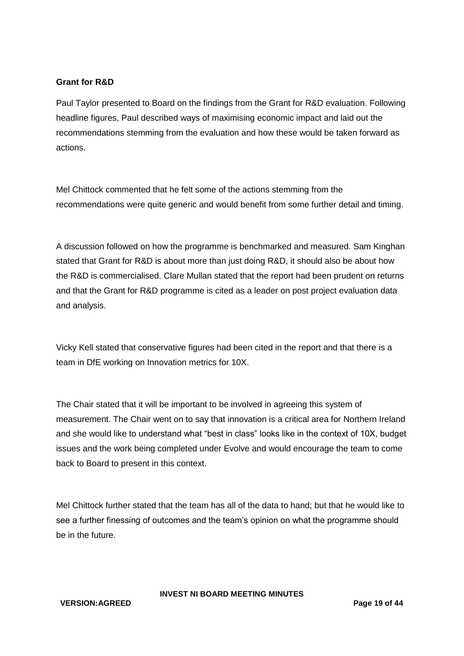#### **Grant for R&D**

Paul Taylor presented to Board on the findings from the Grant for R&D evaluation. Following headline figures, Paul described ways of maximising economic impact and laid out the recommendations stemming from the evaluation and how these would be taken forward as actions.

Mel Chittock commented that he felt some of the actions stemming from the recommendations were quite generic and would benefit from some further detail and timing.

A discussion followed on how the programme is benchmarked and measured. Sam Kinghan stated that Grant for R&D is about more than just doing R&D, it should also be about how the R&D is commercialised. Clare Mullan stated that the report had been prudent on returns and that the Grant for R&D programme is cited as a leader on post project evaluation data and analysis.

Vicky Kell stated that conservative figures had been cited in the report and that there is a team in DfE working on Innovation metrics for 10X.

The Chair stated that it will be important to be involved in agreeing this system of measurement. The Chair went on to say that innovation is a critical area for Northern Ireland and she would like to understand what "best in class" looks like in the context of 10X, budget issues and the work being completed under Evolve and would encourage the team to come back to Board to present in this context.

Mel Chittock further stated that the team has all of the data to hand; but that he would like to see a further finessing of outcomes and the team's opinion on what the programme should be in the future.

**INVEST NI BOARD MEETING MINUTES**

**VERSION:AGREED Page 19 of 44**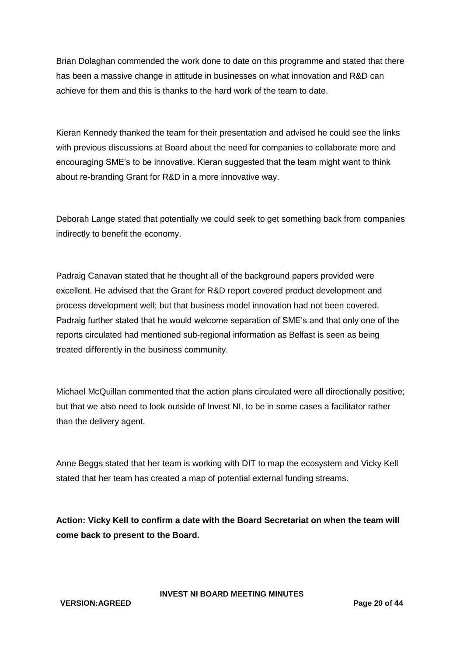Brian Dolaghan commended the work done to date on this programme and stated that there has been a massive change in attitude in businesses on what innovation and R&D can achieve for them and this is thanks to the hard work of the team to date.

Kieran Kennedy thanked the team for their presentation and advised he could see the links with previous discussions at Board about the need for companies to collaborate more and encouraging SME's to be innovative. Kieran suggested that the team might want to think about re-branding Grant for R&D in a more innovative way.

Deborah Lange stated that potentially we could seek to get something back from companies indirectly to benefit the economy.

Padraig Canavan stated that he thought all of the background papers provided were excellent. He advised that the Grant for R&D report covered product development and process development well; but that business model innovation had not been covered. Padraig further stated that he would welcome separation of SME's and that only one of the reports circulated had mentioned sub-regional information as Belfast is seen as being treated differently in the business community.

Michael McQuillan commented that the action plans circulated were all directionally positive; but that we also need to look outside of Invest NI, to be in some cases a facilitator rather than the delivery agent.

Anne Beggs stated that her team is working with DIT to map the ecosystem and Vicky Kell stated that her team has created a map of potential external funding streams.

**Action: Vicky Kell to confirm a date with the Board Secretariat on when the team will come back to present to the Board.**

**INVEST NI BOARD MEETING MINUTES**

**VERSION:AGREED Page 20 of 44**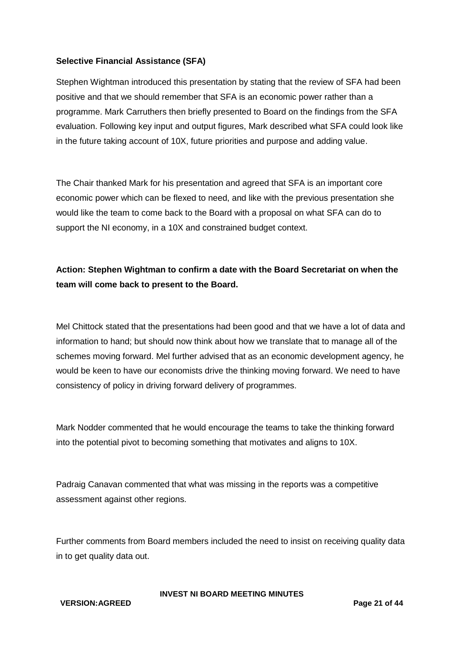#### **Selective Financial Assistance (SFA)**

Stephen Wightman introduced this presentation by stating that the review of SFA had been positive and that we should remember that SFA is an economic power rather than a programme. Mark Carruthers then briefly presented to Board on the findings from the SFA evaluation. Following key input and output figures, Mark described what SFA could look like in the future taking account of 10X, future priorities and purpose and adding value.

The Chair thanked Mark for his presentation and agreed that SFA is an important core economic power which can be flexed to need, and like with the previous presentation she would like the team to come back to the Board with a proposal on what SFA can do to support the NI economy, in a 10X and constrained budget context.

# **Action: Stephen Wightman to confirm a date with the Board Secretariat on when the team will come back to present to the Board.**

Mel Chittock stated that the presentations had been good and that we have a lot of data and information to hand; but should now think about how we translate that to manage all of the schemes moving forward. Mel further advised that as an economic development agency, he would be keen to have our economists drive the thinking moving forward. We need to have consistency of policy in driving forward delivery of programmes.

Mark Nodder commented that he would encourage the teams to take the thinking forward into the potential pivot to becoming something that motivates and aligns to 10X.

Padraig Canavan commented that what was missing in the reports was a competitive assessment against other regions.

Further comments from Board members included the need to insist on receiving quality data in to get quality data out.

#### **VERSION:AGREED Page 21 of 44**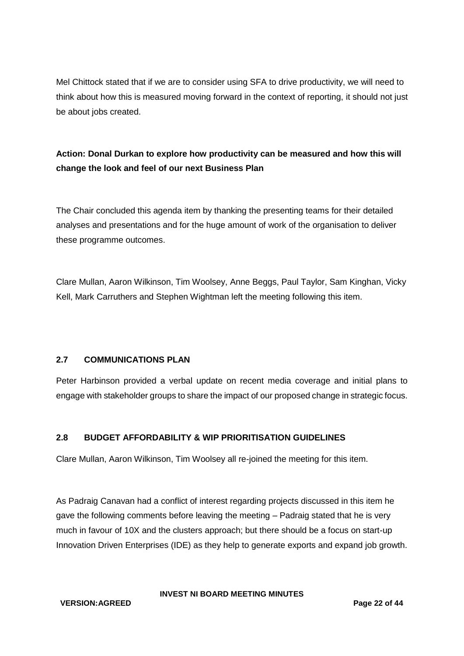Mel Chittock stated that if we are to consider using SFA to drive productivity, we will need to think about how this is measured moving forward in the context of reporting, it should not just be about jobs created.

# **Action: Donal Durkan to explore how productivity can be measured and how this will change the look and feel of our next Business Plan**

The Chair concluded this agenda item by thanking the presenting teams for their detailed analyses and presentations and for the huge amount of work of the organisation to deliver these programme outcomes.

Clare Mullan, Aaron Wilkinson, Tim Woolsey, Anne Beggs, Paul Taylor, Sam Kinghan, Vicky Kell, Mark Carruthers and Stephen Wightman left the meeting following this item.

# **2.7 COMMUNICATIONS PLAN**

Peter Harbinson provided a verbal update on recent media coverage and initial plans to engage with stakeholder groups to share the impact of our proposed change in strategic focus.

# **2.8 BUDGET AFFORDABILITY & WIP PRIORITISATION GUIDELINES**

Clare Mullan, Aaron Wilkinson, Tim Woolsey all re-joined the meeting for this item.

As Padraig Canavan had a conflict of interest regarding projects discussed in this item he gave the following comments before leaving the meeting – Padraig stated that he is very much in favour of 10X and the clusters approach; but there should be a focus on start-up Innovation Driven Enterprises (IDE) as they help to generate exports and expand job growth.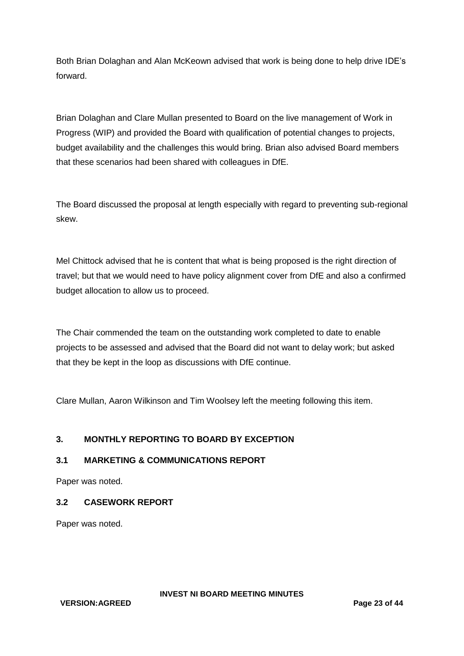Both Brian Dolaghan and Alan McKeown advised that work is being done to help drive IDE's forward.

Brian Dolaghan and Clare Mullan presented to Board on the live management of Work in Progress (WIP) and provided the Board with qualification of potential changes to projects, budget availability and the challenges this would bring. Brian also advised Board members that these scenarios had been shared with colleagues in DfE.

The Board discussed the proposal at length especially with regard to preventing sub-regional skew.

Mel Chittock advised that he is content that what is being proposed is the right direction of travel; but that we would need to have policy alignment cover from DfE and also a confirmed budget allocation to allow us to proceed.

The Chair commended the team on the outstanding work completed to date to enable projects to be assessed and advised that the Board did not want to delay work; but asked that they be kept in the loop as discussions with DfE continue.

Clare Mullan, Aaron Wilkinson and Tim Woolsey left the meeting following this item.

# **3. MONTHLY REPORTING TO BOARD BY EXCEPTION**

# **3.1 MARKETING & COMMUNICATIONS REPORT**

Paper was noted.

#### **3.2 CASEWORK REPORT**

Paper was noted.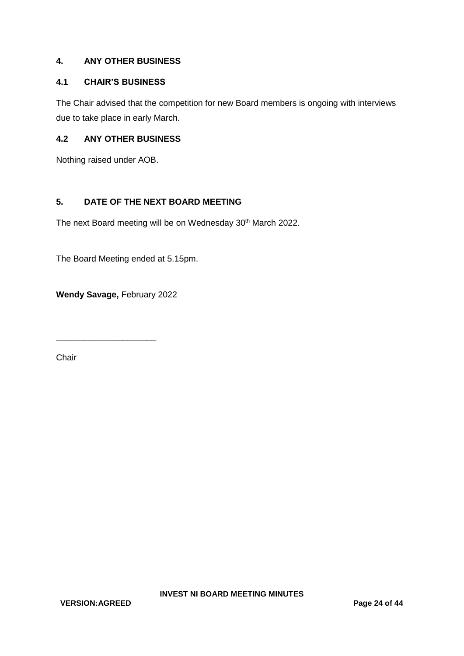## **4. ANY OTHER BUSINESS**

## **4.1 CHAIR'S BUSINESS**

The Chair advised that the competition for new Board members is ongoing with interviews due to take place in early March.

#### **4.2 ANY OTHER BUSINESS**

Nothing raised under AOB.

# **5. DATE OF THE NEXT BOARD MEETING**

The next Board meeting will be on Wednesday 30<sup>th</sup> March 2022.

The Board Meeting ended at 5.15pm.

**Wendy Savage,** February 2022

\_\_\_\_\_\_\_\_\_\_\_\_\_\_\_\_\_\_\_\_\_

Chair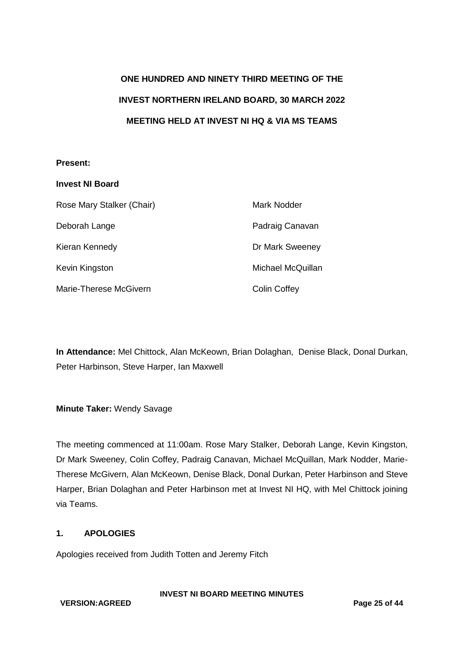# **ONE HUNDRED AND NINETY THIRD MEETING OF THE INVEST NORTHERN IRELAND BOARD, 30 MARCH 2022 MEETING HELD AT INVEST NI HQ & VIA MS TEAMS**

#### **Present:**

| <b>Invest NI Board</b>    |                     |
|---------------------------|---------------------|
| Rose Mary Stalker (Chair) | Mark Nodder         |
| Deborah Lange             | Padraig Canavan     |
| Kieran Kennedy            | Dr Mark Sweeney     |
| Kevin Kingston            | Michael McQuillan   |
| Marie-Therese McGivern    | <b>Colin Coffey</b> |

**In Attendance:** Mel Chittock, Alan McKeown, Brian Dolaghan, Denise Black, Donal Durkan, Peter Harbinson, Steve Harper, Ian Maxwell

#### **Minute Taker:** Wendy Savage

The meeting commenced at 11:00am. Rose Mary Stalker, Deborah Lange, Kevin Kingston, Dr Mark Sweeney, Colin Coffey, Padraig Canavan, Michael McQuillan, Mark Nodder, Marie-Therese McGivern, Alan McKeown, Denise Black, Donal Durkan, Peter Harbinson and Steve Harper, Brian Dolaghan and Peter Harbinson met at Invest NI HQ, with Mel Chittock joining via Teams.

## **1. APOLOGIES**

Apologies received from Judith Totten and Jeremy Fitch

**INVEST NI BOARD MEETING MINUTES**

**VERSION:AGREED Page 25 of 44**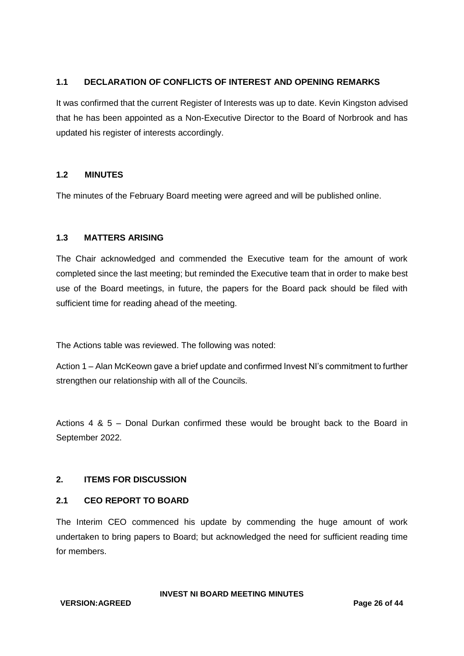## **1.1 DECLARATION OF CONFLICTS OF INTEREST AND OPENING REMARKS**

It was confirmed that the current Register of Interests was up to date. Kevin Kingston advised that he has been appointed as a Non-Executive Director to the Board of Norbrook and has updated his register of interests accordingly.

## **1.2 MINUTES**

The minutes of the February Board meeting were agreed and will be published online.

## **1.3 MATTERS ARISING**

The Chair acknowledged and commended the Executive team for the amount of work completed since the last meeting; but reminded the Executive team that in order to make best use of the Board meetings, in future, the papers for the Board pack should be filed with sufficient time for reading ahead of the meeting.

The Actions table was reviewed. The following was noted:

Action 1 – Alan McKeown gave a brief update and confirmed Invest NI's commitment to further strengthen our relationship with all of the Councils.

Actions 4 & 5 – Donal Durkan confirmed these would be brought back to the Board in September 2022.

# **2. ITEMS FOR DISCUSSION**

#### **2.1 CEO REPORT TO BOARD**

The Interim CEO commenced his update by commending the huge amount of work undertaken to bring papers to Board; but acknowledged the need for sufficient reading time for members.

**VERSION:AGREED Page 26 of 44**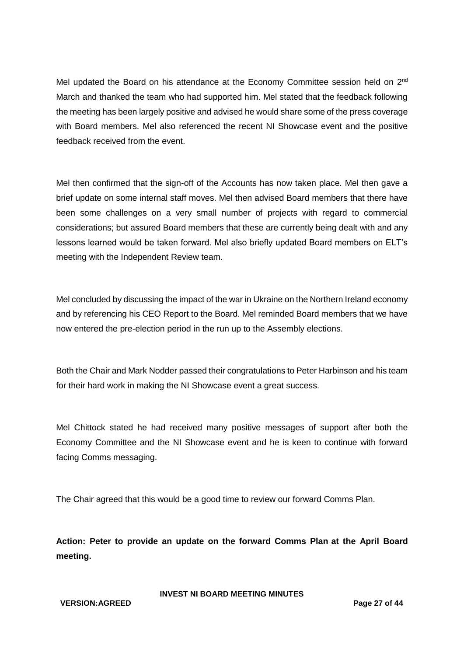Mel updated the Board on his attendance at the Economy Committee session held on 2<sup>nd</sup> March and thanked the team who had supported him. Mel stated that the feedback following the meeting has been largely positive and advised he would share some of the press coverage with Board members. Mel also referenced the recent NI Showcase event and the positive feedback received from the event.

Mel then confirmed that the sign-off of the Accounts has now taken place. Mel then gave a brief update on some internal staff moves. Mel then advised Board members that there have been some challenges on a very small number of projects with regard to commercial considerations; but assured Board members that these are currently being dealt with and any lessons learned would be taken forward. Mel also briefly updated Board members on ELT's meeting with the Independent Review team.

Mel concluded by discussing the impact of the war in Ukraine on the Northern Ireland economy and by referencing his CEO Report to the Board. Mel reminded Board members that we have now entered the pre-election period in the run up to the Assembly elections.

Both the Chair and Mark Nodder passed their congratulations to Peter Harbinson and his team for their hard work in making the NI Showcase event a great success.

Mel Chittock stated he had received many positive messages of support after both the Economy Committee and the NI Showcase event and he is keen to continue with forward facing Comms messaging.

The Chair agreed that this would be a good time to review our forward Comms Plan.

**Action: Peter to provide an update on the forward Comms Plan at the April Board meeting.**

#### **VERSION:AGREED Page 27 of 44**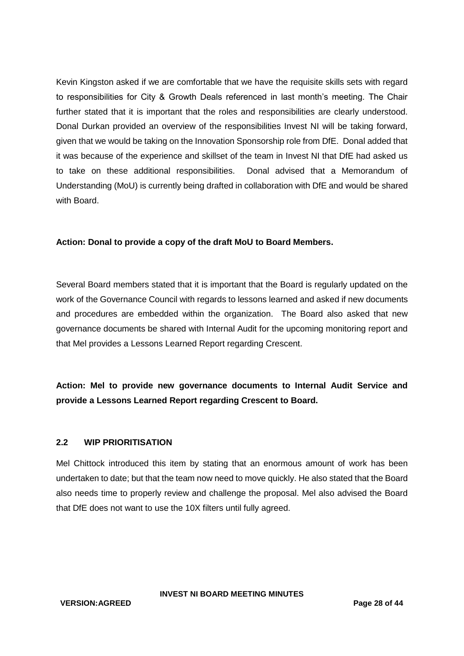Kevin Kingston asked if we are comfortable that we have the requisite skills sets with regard to responsibilities for City & Growth Deals referenced in last month's meeting. The Chair further stated that it is important that the roles and responsibilities are clearly understood. Donal Durkan provided an overview of the responsibilities Invest NI will be taking forward, given that we would be taking on the Innovation Sponsorship role from DfE. Donal added that it was because of the experience and skillset of the team in Invest NI that DfE had asked us to take on these additional responsibilities. Donal advised that a Memorandum of Understanding (MoU) is currently being drafted in collaboration with DfE and would be shared with Board.

#### **Action: Donal to provide a copy of the draft MoU to Board Members.**

Several Board members stated that it is important that the Board is regularly updated on the work of the Governance Council with regards to lessons learned and asked if new documents and procedures are embedded within the organization. The Board also asked that new governance documents be shared with Internal Audit for the upcoming monitoring report and that Mel provides a Lessons Learned Report regarding Crescent.

**Action: Mel to provide new governance documents to Internal Audit Service and provide a Lessons Learned Report regarding Crescent to Board.**

#### **2.2 WIP PRIORITISATION**

Mel Chittock introduced this item by stating that an enormous amount of work has been undertaken to date; but that the team now need to move quickly. He also stated that the Board also needs time to properly review and challenge the proposal. Mel also advised the Board that DfE does not want to use the 10X filters until fully agreed.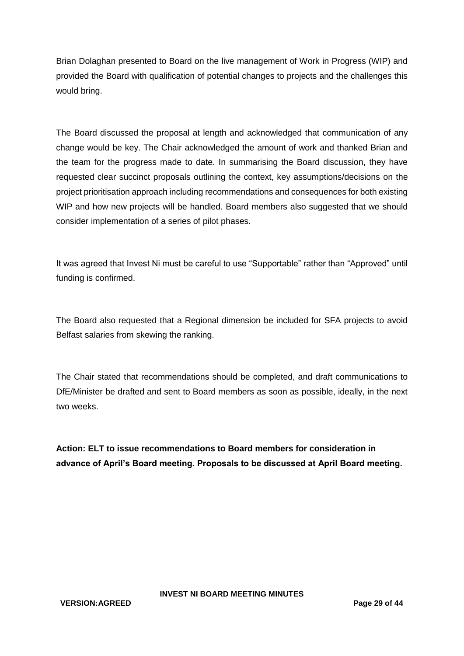Brian Dolaghan presented to Board on the live management of Work in Progress (WIP) and provided the Board with qualification of potential changes to projects and the challenges this would bring.

The Board discussed the proposal at length and acknowledged that communication of any change would be key. The Chair acknowledged the amount of work and thanked Brian and the team for the progress made to date. In summarising the Board discussion, they have requested clear succinct proposals outlining the context, key assumptions/decisions on the project prioritisation approach including recommendations and consequences for both existing WIP and how new projects will be handled. Board members also suggested that we should consider implementation of a series of pilot phases.

It was agreed that Invest Ni must be careful to use "Supportable" rather than "Approved" until funding is confirmed.

The Board also requested that a Regional dimension be included for SFA projects to avoid Belfast salaries from skewing the ranking.

The Chair stated that recommendations should be completed, and draft communications to DfE/Minister be drafted and sent to Board members as soon as possible, ideally, in the next two weeks.

**Action: ELT to issue recommendations to Board members for consideration in advance of April's Board meeting. Proposals to be discussed at April Board meeting.**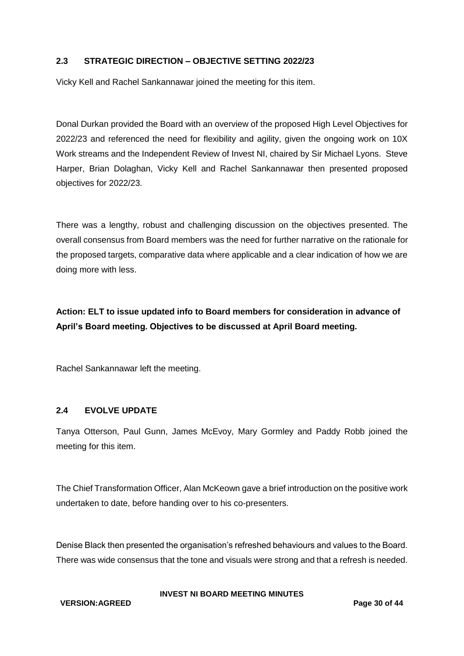## **2.3 STRATEGIC DIRECTION – OBJECTIVE SETTING 2022/23**

Vicky Kell and Rachel Sankannawar joined the meeting for this item.

Donal Durkan provided the Board with an overview of the proposed High Level Objectives for 2022/23 and referenced the need for flexibility and agility, given the ongoing work on 10X Work streams and the Independent Review of Invest NI, chaired by Sir Michael Lyons. Steve Harper, Brian Dolaghan, Vicky Kell and Rachel Sankannawar then presented proposed objectives for 2022/23.

There was a lengthy, robust and challenging discussion on the objectives presented. The overall consensus from Board members was the need for further narrative on the rationale for the proposed targets, comparative data where applicable and a clear indication of how we are doing more with less.

**Action: ELT to issue updated info to Board members for consideration in advance of April's Board meeting. Objectives to be discussed at April Board meeting.**

Rachel Sankannawar left the meeting.

#### **2.4 EVOLVE UPDATE**

Tanya Otterson, Paul Gunn, James McEvoy, Mary Gormley and Paddy Robb joined the meeting for this item.

The Chief Transformation Officer, Alan McKeown gave a brief introduction on the positive work undertaken to date, before handing over to his co-presenters.

Denise Black then presented the organisation's refreshed behaviours and values to the Board. There was wide consensus that the tone and visuals were strong and that a refresh is needed.

**VERSION:AGREED Page 30 of 44**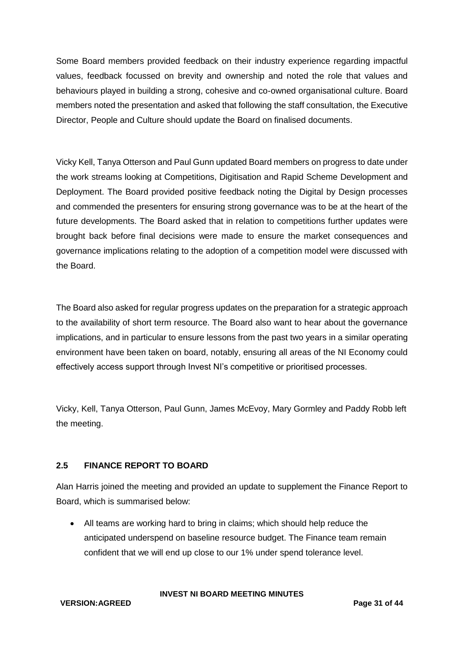Some Board members provided feedback on their industry experience regarding impactful values, feedback focussed on brevity and ownership and noted the role that values and behaviours played in building a strong, cohesive and co-owned organisational culture. Board members noted the presentation and asked that following the staff consultation, the Executive Director, People and Culture should update the Board on finalised documents.

Vicky Kell, Tanya Otterson and Paul Gunn updated Board members on progress to date under the work streams looking at Competitions, Digitisation and Rapid Scheme Development and Deployment. The Board provided positive feedback noting the Digital by Design processes and commended the presenters for ensuring strong governance was to be at the heart of the future developments. The Board asked that in relation to competitions further updates were brought back before final decisions were made to ensure the market consequences and governance implications relating to the adoption of a competition model were discussed with the Board.

The Board also asked for regular progress updates on the preparation for a strategic approach to the availability of short term resource. The Board also want to hear about the governance implications, and in particular to ensure lessons from the past two years in a similar operating environment have been taken on board, notably, ensuring all areas of the NI Economy could effectively access support through Invest NI's competitive or prioritised processes.

Vicky, Kell, Tanya Otterson, Paul Gunn, James McEvoy, Mary Gormley and Paddy Robb left the meeting.

# **2.5 FINANCE REPORT TO BOARD**

Alan Harris joined the meeting and provided an update to supplement the Finance Report to Board, which is summarised below:

 All teams are working hard to bring in claims; which should help reduce the anticipated underspend on baseline resource budget. The Finance team remain confident that we will end up close to our 1% under spend tolerance level.

**INVEST NI BOARD MEETING MINUTES**

**VERSION:AGREED Page 31 of 44**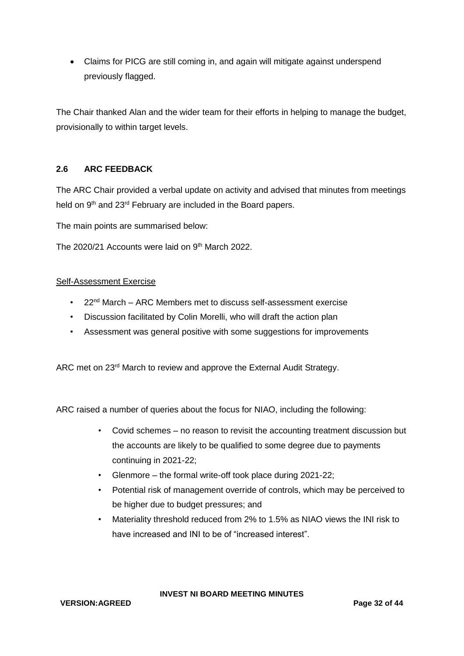• Claims for PICG are still coming in, and again will mitigate against underspend previously flagged.

The Chair thanked Alan and the wider team for their efforts in helping to manage the budget, provisionally to within target levels.

# **2.6 ARC FEEDBACK**

The ARC Chair provided a verbal update on activity and advised that minutes from meetings held on 9<sup>th</sup> and 23<sup>rd</sup> February are included in the Board papers.

The main points are summarised below:

The 2020/21 Accounts were laid on 9<sup>th</sup> March 2022.

#### Self-Assessment Exercise

- 22<sup>nd</sup> March ARC Members met to discuss self-assessment exercise
- Discussion facilitated by Colin Morelli, who will draft the action plan
- Assessment was general positive with some suggestions for improvements

ARC met on 23<sup>rd</sup> March to review and approve the External Audit Strategy.

ARC raised a number of queries about the focus for NIAO, including the following:

- Covid schemes no reason to revisit the accounting treatment discussion but the accounts are likely to be qualified to some degree due to payments continuing in 2021-22;
- Glenmore the formal write-off took place during 2021-22;
- Potential risk of management override of controls, which may be perceived to be higher due to budget pressures; and
- Materiality threshold reduced from 2% to 1.5% as NIAO views the INI risk to have increased and INI to be of "increased interest".

**INVEST NI BOARD MEETING MINUTES**

**VERSION:AGREED Page 32 of 44**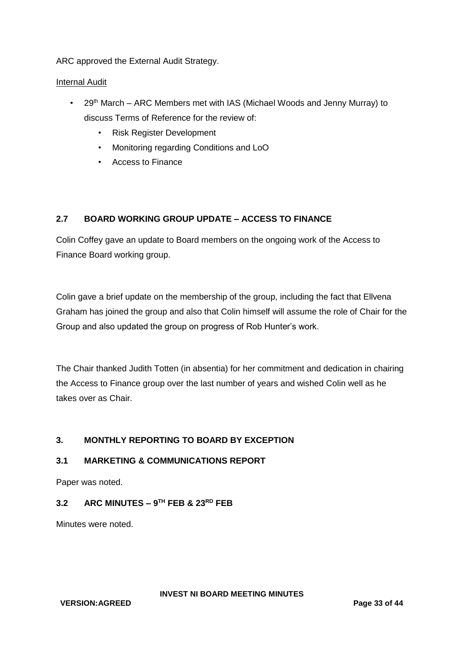ARC approved the External Audit Strategy.

## Internal Audit

- 29<sup>th</sup> March ARC Members met with IAS (Michael Woods and Jenny Murray) to discuss Terms of Reference for the review of:
	- Risk Register Development
	- Monitoring regarding Conditions and LoO
	- Access to Finance

# **2.7 BOARD WORKING GROUP UPDATE – ACCESS TO FINANCE**

Colin Coffey gave an update to Board members on the ongoing work of the Access to Finance Board working group.

Colin gave a brief update on the membership of the group, including the fact that Ellvena Graham has joined the group and also that Colin himself will assume the role of Chair for the Group and also updated the group on progress of Rob Hunter's work.

The Chair thanked Judith Totten (in absentia) for her commitment and dedication in chairing the Access to Finance group over the last number of years and wished Colin well as he takes over as Chair.

# **3. MONTHLY REPORTING TO BOARD BY EXCEPTION**

# **3.1 MARKETING & COMMUNICATIONS REPORT**

Paper was noted.

## **3.2 ARC MINUTES – 9 TH FEB & 23RD FEB**

Minutes were noted.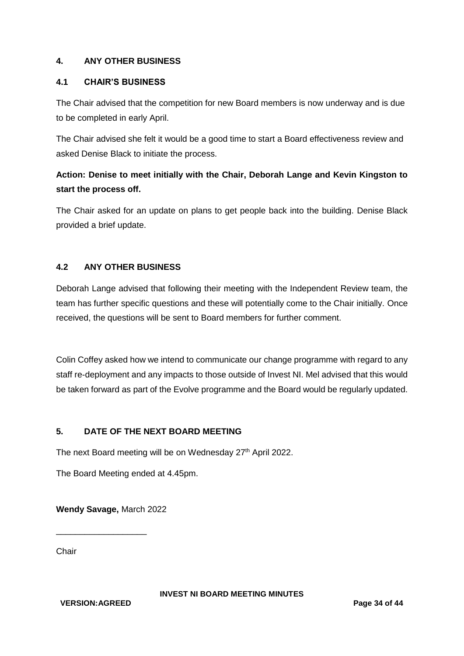## **4. ANY OTHER BUSINESS**

#### **4.1 CHAIR'S BUSINESS**

The Chair advised that the competition for new Board members is now underway and is due to be completed in early April.

The Chair advised she felt it would be a good time to start a Board effectiveness review and asked Denise Black to initiate the process.

# **Action: Denise to meet initially with the Chair, Deborah Lange and Kevin Kingston to start the process off.**

The Chair asked for an update on plans to get people back into the building. Denise Black provided a brief update.

# **4.2 ANY OTHER BUSINESS**

Deborah Lange advised that following their meeting with the Independent Review team, the team has further specific questions and these will potentially come to the Chair initially. Once received, the questions will be sent to Board members for further comment.

Colin Coffey asked how we intend to communicate our change programme with regard to any staff re-deployment and any impacts to those outside of Invest NI. Mel advised that this would be taken forward as part of the Evolve programme and the Board would be regularly updated.

## **5. DATE OF THE NEXT BOARD MEETING**

The next Board meeting will be on Wednesday 27<sup>th</sup> April 2022.

The Board Meeting ended at 4.45pm.

**Wendy Savage,** March 2022

\_\_\_\_\_\_\_\_\_\_\_\_\_\_\_\_\_\_\_

Chair

**VERSION:AGREED Page 34 of 44**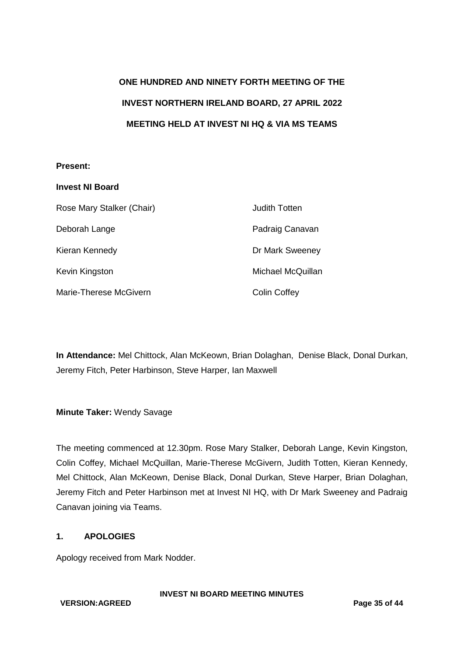# **ONE HUNDRED AND NINETY FORTH MEETING OF THE INVEST NORTHERN IRELAND BOARD, 27 APRIL 2022 MEETING HELD AT INVEST NI HQ & VIA MS TEAMS**

## **Present:**

| <b>Invest NI Board</b>    |                     |
|---------------------------|---------------------|
| Rose Mary Stalker (Chair) | Judith Totten       |
| Deborah Lange             | Padraig Canavan     |
| Kieran Kennedy            | Dr Mark Sweeney     |
| Kevin Kingston            | Michael McQuillan   |
| Marie-Therese McGivern    | <b>Colin Coffey</b> |

**In Attendance:** Mel Chittock, Alan McKeown, Brian Dolaghan, Denise Black, Donal Durkan, Jeremy Fitch, Peter Harbinson, Steve Harper, Ian Maxwell

**Minute Taker:** Wendy Savage

The meeting commenced at 12.30pm. Rose Mary Stalker, Deborah Lange, Kevin Kingston, Colin Coffey, Michael McQuillan, Marie-Therese McGivern, Judith Totten, Kieran Kennedy, Mel Chittock, Alan McKeown, Denise Black, Donal Durkan, Steve Harper, Brian Dolaghan, Jeremy Fitch and Peter Harbinson met at Invest NI HQ, with Dr Mark Sweeney and Padraig Canavan joining via Teams.

# **1. APOLOGIES**

Apology received from Mark Nodder.

#### **VERSION:AGREED Page 35 of 44**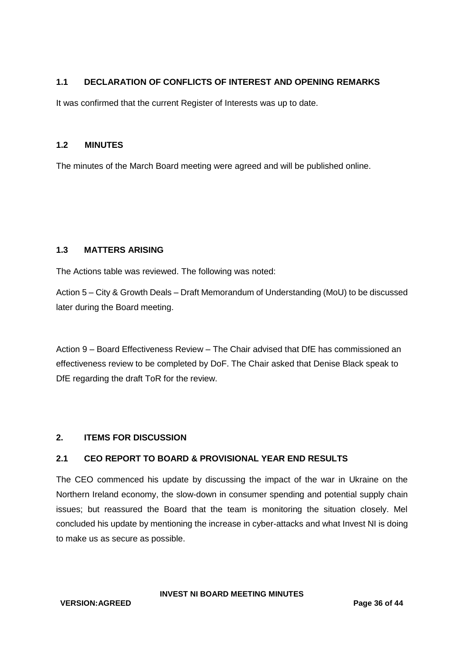# **1.1 DECLARATION OF CONFLICTS OF INTEREST AND OPENING REMARKS**

It was confirmed that the current Register of Interests was up to date.

#### **1.2 MINUTES**

The minutes of the March Board meeting were agreed and will be published online.

#### **1.3 MATTERS ARISING**

The Actions table was reviewed. The following was noted:

Action 5 – City & Growth Deals – Draft Memorandum of Understanding (MoU) to be discussed later during the Board meeting.

Action 9 – Board Effectiveness Review – The Chair advised that DfE has commissioned an effectiveness review to be completed by DoF. The Chair asked that Denise Black speak to DfE regarding the draft ToR for the review.

#### **2. ITEMS FOR DISCUSSION**

# **2.1 CEO REPORT TO BOARD & PROVISIONAL YEAR END RESULTS**

The CEO commenced his update by discussing the impact of the war in Ukraine on the Northern Ireland economy, the slow-down in consumer spending and potential supply chain issues; but reassured the Board that the team is monitoring the situation closely. Mel concluded his update by mentioning the increase in cyber-attacks and what Invest NI is doing to make us as secure as possible.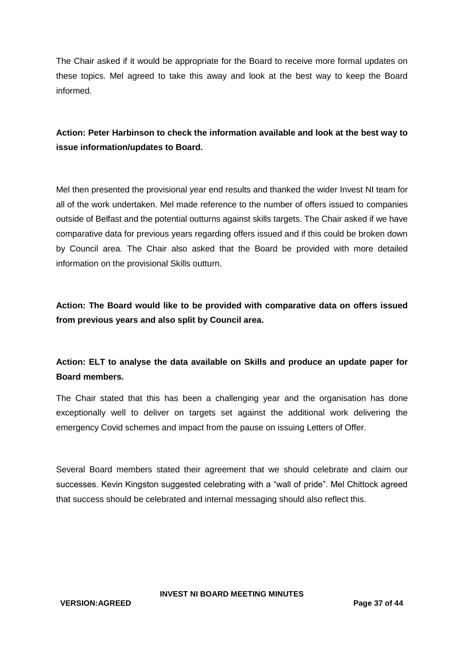The Chair asked if it would be appropriate for the Board to receive more formal updates on these topics. Mel agreed to take this away and look at the best way to keep the Board informed.

# **Action: Peter Harbinson to check the information available and look at the best way to issue information/updates to Board.**

Mel then presented the provisional year end results and thanked the wider Invest NI team for all of the work undertaken. Mel made reference to the number of offers issued to companies outside of Belfast and the potential outturns against skills targets. The Chair asked if we have comparative data for previous years regarding offers issued and if this could be broken down by Council area. The Chair also asked that the Board be provided with more detailed information on the provisional Skills outturn.

**Action: The Board would like to be provided with comparative data on offers issued from previous years and also split by Council area.**

# **Action: ELT to analyse the data available on Skills and produce an update paper for Board members.**

The Chair stated that this has been a challenging year and the organisation has done exceptionally well to deliver on targets set against the additional work delivering the emergency Covid schemes and impact from the pause on issuing Letters of Offer.

Several Board members stated their agreement that we should celebrate and claim our successes. Kevin Kingston suggested celebrating with a "wall of pride". Mel Chittock agreed that success should be celebrated and internal messaging should also reflect this.

#### **VERSION:AGREED Page 37 of 44**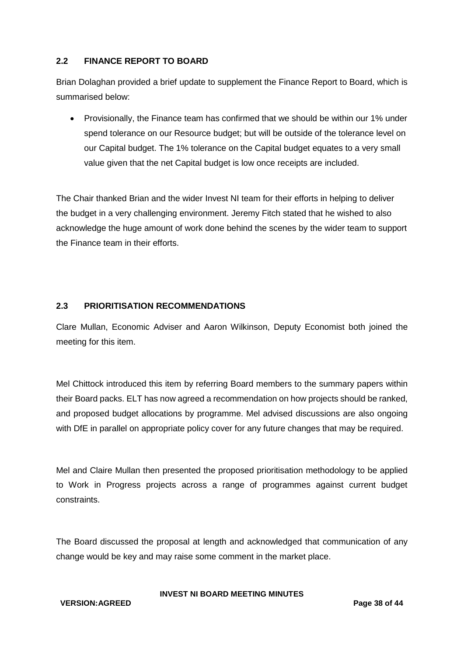# **2.2 FINANCE REPORT TO BOARD**

Brian Dolaghan provided a brief update to supplement the Finance Report to Board, which is summarised below:

 Provisionally, the Finance team has confirmed that we should be within our 1% under spend tolerance on our Resource budget; but will be outside of the tolerance level on our Capital budget. The 1% tolerance on the Capital budget equates to a very small value given that the net Capital budget is low once receipts are included.

The Chair thanked Brian and the wider Invest NI team for their efforts in helping to deliver the budget in a very challenging environment. Jeremy Fitch stated that he wished to also acknowledge the huge amount of work done behind the scenes by the wider team to support the Finance team in their efforts.

## **2.3 PRIORITISATION RECOMMENDATIONS**

Clare Mullan, Economic Adviser and Aaron Wilkinson, Deputy Economist both joined the meeting for this item.

Mel Chittock introduced this item by referring Board members to the summary papers within their Board packs. ELT has now agreed a recommendation on how projects should be ranked, and proposed budget allocations by programme. Mel advised discussions are also ongoing with DfE in parallel on appropriate policy cover for any future changes that may be required.

Mel and Claire Mullan then presented the proposed prioritisation methodology to be applied to Work in Progress projects across a range of programmes against current budget constraints.

The Board discussed the proposal at length and acknowledged that communication of any change would be key and may raise some comment in the market place.

**VERSION:AGREED Page 38 of 44**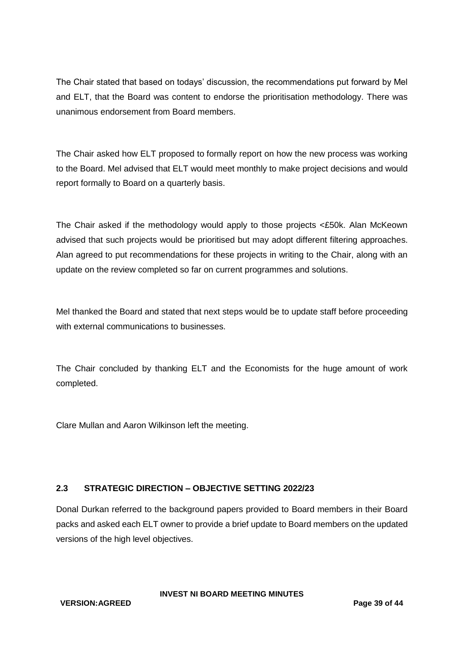The Chair stated that based on todays' discussion, the recommendations put forward by Mel and ELT, that the Board was content to endorse the prioritisation methodology. There was unanimous endorsement from Board members.

The Chair asked how ELT proposed to formally report on how the new process was working to the Board. Mel advised that ELT would meet monthly to make project decisions and would report formally to Board on a quarterly basis.

The Chair asked if the methodology would apply to those projects <£50k. Alan McKeown advised that such projects would be prioritised but may adopt different filtering approaches. Alan agreed to put recommendations for these projects in writing to the Chair, along with an update on the review completed so far on current programmes and solutions.

Mel thanked the Board and stated that next steps would be to update staff before proceeding with external communications to businesses.

The Chair concluded by thanking ELT and the Economists for the huge amount of work completed.

Clare Mullan and Aaron Wilkinson left the meeting.

# **2.3 STRATEGIC DIRECTION – OBJECTIVE SETTING 2022/23**

Donal Durkan referred to the background papers provided to Board members in their Board packs and asked each ELT owner to provide a brief update to Board members on the updated versions of the high level objectives.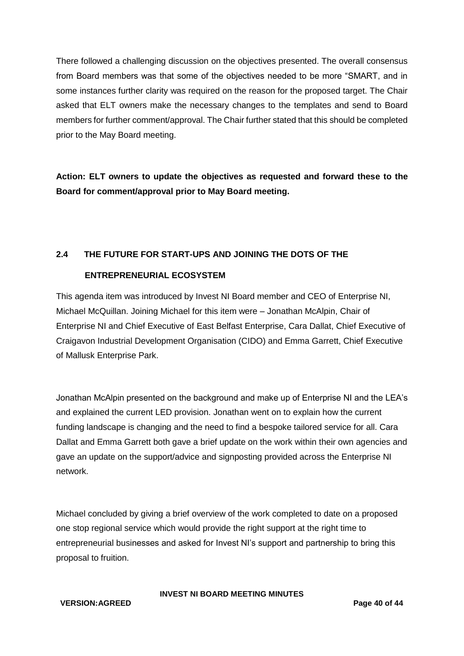There followed a challenging discussion on the objectives presented. The overall consensus from Board members was that some of the objectives needed to be more "SMART, and in some instances further clarity was required on the reason for the proposed target. The Chair asked that ELT owners make the necessary changes to the templates and send to Board members for further comment/approval. The Chair further stated that this should be completed prior to the May Board meeting.

**Action: ELT owners to update the objectives as requested and forward these to the Board for comment/approval prior to May Board meeting.**

# **2.4 THE FUTURE FOR START-UPS AND JOINING THE DOTS OF THE**

# **ENTREPRENEURIAL ECOSYSTEM**

This agenda item was introduced by Invest NI Board member and CEO of Enterprise NI, Michael McQuillan. Joining Michael for this item were – Jonathan McAlpin, Chair of Enterprise NI and Chief Executive of East Belfast Enterprise, Cara Dallat, Chief Executive of Craigavon Industrial Development Organisation (CIDO) and Emma Garrett, Chief Executive of Mallusk Enterprise Park.

Jonathan McAlpin presented on the background and make up of Enterprise NI and the LEA's and explained the current LED provision. Jonathan went on to explain how the current funding landscape is changing and the need to find a bespoke tailored service for all. Cara Dallat and Emma Garrett both gave a brief update on the work within their own agencies and gave an update on the support/advice and signposting provided across the Enterprise NI network.

Michael concluded by giving a brief overview of the work completed to date on a proposed one stop regional service which would provide the right support at the right time to entrepreneurial businesses and asked for Invest NI's support and partnership to bring this proposal to fruition.

**VERSION:AGREED Page 40 of 44**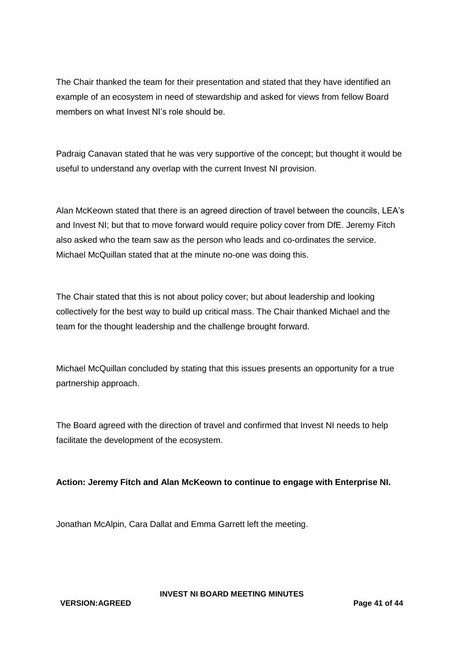The Chair thanked the team for their presentation and stated that they have identified an example of an ecosystem in need of stewardship and asked for views from fellow Board members on what Invest NI's role should be.

Padraig Canavan stated that he was very supportive of the concept; but thought it would be useful to understand any overlap with the current Invest NI provision.

Alan McKeown stated that there is an agreed direction of travel between the councils, LEA's and Invest NI; but that to move forward would require policy cover from DfE. Jeremy Fitch also asked who the team saw as the person who leads and co-ordinates the service. Michael McQuillan stated that at the minute no-one was doing this.

The Chair stated that this is not about policy cover; but about leadership and looking collectively for the best way to build up critical mass. The Chair thanked Michael and the team for the thought leadership and the challenge brought forward.

Michael McQuillan concluded by stating that this issues presents an opportunity for a true partnership approach.

The Board agreed with the direction of travel and confirmed that Invest NI needs to help facilitate the development of the ecosystem.

# **Action: Jeremy Fitch and Alan McKeown to continue to engage with Enterprise NI.**

Jonathan McAlpin, Cara Dallat and Emma Garrett left the meeting.

**VERSION:AGREED Page 41 of 44**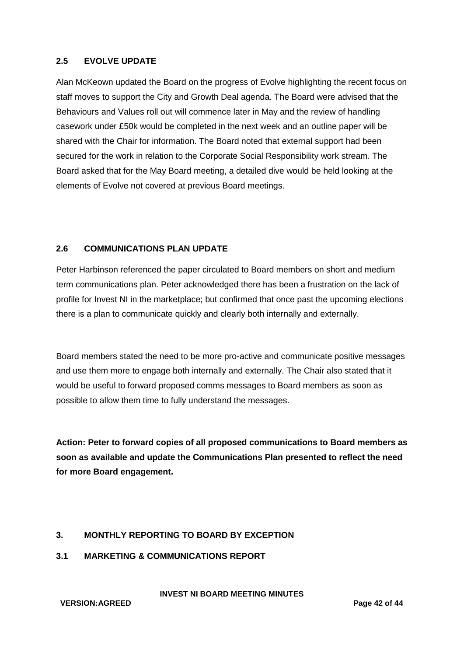## **2.5 EVOLVE UPDATE**

Alan McKeown updated the Board on the progress of Evolve highlighting the recent focus on staff moves to support the City and Growth Deal agenda. The Board were advised that the Behaviours and Values roll out will commence later in May and the review of handling casework under £50k would be completed in the next week and an outline paper will be shared with the Chair for information. The Board noted that external support had been secured for the work in relation to the Corporate Social Responsibility work stream. The Board asked that for the May Board meeting, a detailed dive would be held looking at the elements of Evolve not covered at previous Board meetings.

## **2.6 COMMUNICATIONS PLAN UPDATE**

Peter Harbinson referenced the paper circulated to Board members on short and medium term communications plan. Peter acknowledged there has been a frustration on the lack of profile for Invest NI in the marketplace; but confirmed that once past the upcoming elections there is a plan to communicate quickly and clearly both internally and externally.

Board members stated the need to be more pro-active and communicate positive messages and use them more to engage both internally and externally. The Chair also stated that it would be useful to forward proposed comms messages to Board members as soon as possible to allow them time to fully understand the messages.

**Action: Peter to forward copies of all proposed communications to Board members as soon as available and update the Communications Plan presented to reflect the need for more Board engagement.**

# **3. MONTHLY REPORTING TO BOARD BY EXCEPTION**

**3.1 MARKETING & COMMUNICATIONS REPORT**

**INVEST NI BOARD MEETING MINUTES**

**VERSION:AGREED Page 42 of 44**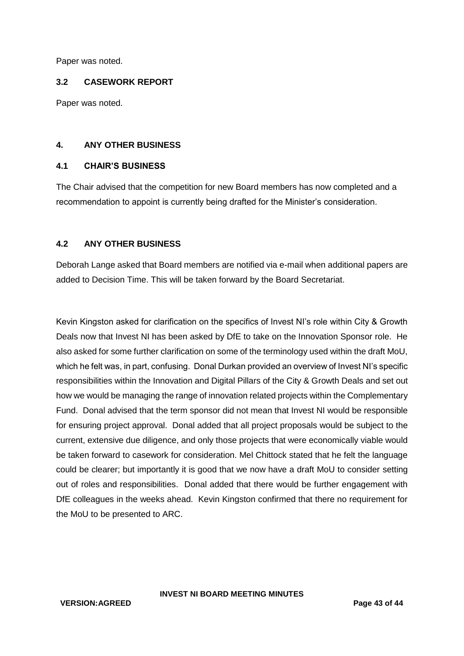Paper was noted.

#### **3.2 CASEWORK REPORT**

Paper was noted.

#### **4. ANY OTHER BUSINESS**

#### **4.1 CHAIR'S BUSINESS**

The Chair advised that the competition for new Board members has now completed and a recommendation to appoint is currently being drafted for the Minister's consideration.

## **4.2 ANY OTHER BUSINESS**

Deborah Lange asked that Board members are notified via e-mail when additional papers are added to Decision Time. This will be taken forward by the Board Secretariat.

Kevin Kingston asked for clarification on the specifics of Invest NI's role within City & Growth Deals now that Invest NI has been asked by DfE to take on the Innovation Sponsor role. He also asked for some further clarification on some of the terminology used within the draft MoU, which he felt was, in part, confusing. Donal Durkan provided an overview of Invest NI's specific responsibilities within the Innovation and Digital Pillars of the City & Growth Deals and set out how we would be managing the range of innovation related projects within the Complementary Fund. Donal advised that the term sponsor did not mean that Invest NI would be responsible for ensuring project approval. Donal added that all project proposals would be subject to the current, extensive due diligence, and only those projects that were economically viable would be taken forward to casework for consideration. Mel Chittock stated that he felt the language could be clearer; but importantly it is good that we now have a draft MoU to consider setting out of roles and responsibilities. Donal added that there would be further engagement with DfE colleagues in the weeks ahead. Kevin Kingston confirmed that there no requirement for the MoU to be presented to ARC.